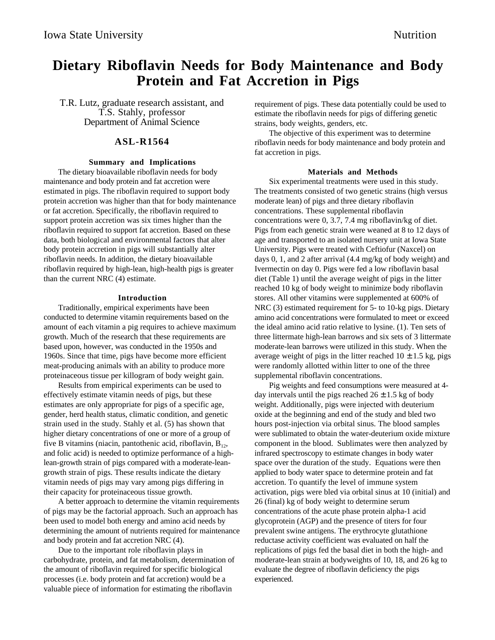# **Dietary Riboflavin Needs for Body Maintenance and Body Protein and Fat Accretion in Pigs**

T.R. Lutz, graduate research assistant, and T.S. Stahly, professor Department of Animal Science

# **ASL-R1564**

#### **Summary and Implications**

The dietary bioavailable riboflavin needs for body maintenance and body protein and fat accretion were estimated in pigs. The riboflavin required to support body protein accretion was higher than that for body maintenance or fat accretion. Specifically, the riboflavin required to support protein accretion was six times higher than the riboflavin required to support fat accretion. Based on these data, both biological and environmental factors that alter body protein accretion in pigs will substantially alter riboflavin needs. In addition, the dietary bioavailable riboflavin required by high-lean, high-health pigs is greater than the current NRC (4) estimate.

### **Introduction**

Traditionally, empirical experiments have been conducted to determine vitamin requirements based on the amount of each vitamin a pig requires to achieve maximum growth. Much of the research that these requirements are based upon, however, was conducted in the 1950s and 1960s. Since that time, pigs have become more efficient meat-producing animals with an ability to produce more proteinaceous tissue per killogram of body weight gain.

Results from empirical experiments can be used to effectively estimate vitamin needs of pigs, but these estimates are only appropriate for pigs of a specific age, gender, herd health status, climatic condition, and genetic strain used in the study. Stahly et al. (5) has shown that higher dietary concentrations of one or more of a group of five B vitamins (niacin, pantothenic acid, riboflavin,  $B_{12}$ , and folic acid) is needed to optimize performance of a highlean-growth strain of pigs compared with a moderate-leangrowth strain of pigs. These results indicate the dietary vitamin needs of pigs may vary among pigs differing in their capacity for proteinaceous tissue growth.

A better approach to determine the vitamin requirements of pigs may be the factorial approach. Such an approach has been used to model both energy and amino acid needs by determining the amount of nutrients required for maintenance and body protein and fat accretion NRC (4).

Due to the important role riboflavin plays in carbohydrate, protein, and fat metabolism, determination of the amount of riboflavin required for specific biological processes (i.e. body protein and fat accretion) would be a valuable piece of information for estimating the riboflavin

requirement of pigs. These data potentially could be used to estimate the riboflavin needs for pigs of differing genetic strains, body weights, genders, etc.

The objective of this experiment was to determine riboflavin needs for body maintenance and body protein and fat accretion in pigs.

#### **Materials and Methods**

Six experimental treatments were used in this study. The treatments consisted of two genetic strains (high versus moderate lean) of pigs and three dietary riboflavin concentrations. These supplemental riboflavin concentrations were 0, 3.7, 7.4 mg riboflavin/kg of diet. Pigs from each genetic strain were weaned at 8 to 12 days of age and transported to an isolated nursery unit at Iowa State University. Pigs were treated with Ceftiofur (Naxcel) on days 0, 1, and 2 after arrival (4.4 mg/kg of body weight) and Ivermectin on day 0. Pigs were fed a low riboflavin basal diet (Table 1) until the average weight of pigs in the litter reached 10 kg of body weight to minimize body riboflavin stores. All other vitamins were supplemented at 600% of NRC (3) estimated requirement for 5- to 10-kg pigs. Dietary amino acid concentrations were formulated to meet or exceed the ideal amino acid ratio relative to lysine. (1). Ten sets of three littermate high-lean barrows and six sets of 3 littermate moderate-lean barrows were utilized in this study. When the average weight of pigs in the litter reached  $10 \pm 1.5$  kg, pigs were randomly allotted within litter to one of the three supplemental riboflavin concentrations.

Pig weights and feed consumptions were measured at 4 day intervals until the pigs reached  $26 \pm 1.5$  kg of body weight. Additionally, pigs were injected with deuterium oxide at the beginning and end of the study and bled two hours post-injection via orbital sinus. The blood samples were sublimated to obtain the water-deuterium oxide mixture component in the blood. Sublimates were then analyzed by infrared spectroscopy to estimate changes in body water space over the duration of the study. Equations were then applied to body water space to determine protein and fat accretion. To quantify the level of immune system activation, pigs were bled via orbital sinus at 10 (initial) and 26 (final) kg of body weight to determine serum concentrations of the acute phase protein alpha-1 acid glycoprotein (AGP) and the presence of titers for four prevalent swine antigens. The erythrocyte glutathione reductase activity coefficient was evaluated on half the replications of pigs fed the basal diet in both the high- and moderate-lean strain at bodyweights of 10, 18, and 26 kg to evaluate the degree of riboflavin deficiency the pigs experienced.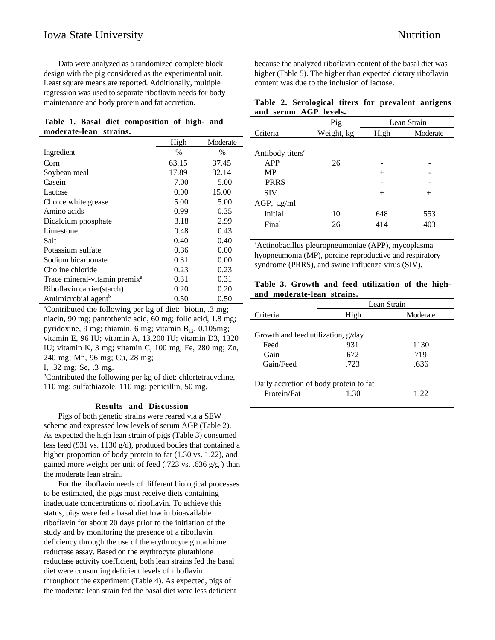Data were analyzed as a randomized complete block design with the pig considered as the experimental unit. Least square means are reported. Additionally, multiple regression was used to separate riboflavin needs for body maintenance and body protein and fat accretion.

## **Table 1. Basal diet composition of high- and moderate-lean strains.**

|                                           | High  | Moderate |
|-------------------------------------------|-------|----------|
| Ingredient                                | $\%$  | $\%$     |
| Corn                                      | 63.15 | 37.45    |
| Soybean meal                              | 17.89 | 32.14    |
| Casein                                    | 7.00  | 5.00     |
| Lactose                                   | 0.00  | 15.00    |
| Choice white grease                       | 5.00  | 5.00     |
| Amino acids                               | 0.99  | 0.35     |
| Dicalcium phosphate                       | 3.18  | 2.99     |
| Limestone                                 | 0.48  | 0.43     |
| Salt                                      | 0.40  | 0.40     |
| Potassium sulfate                         | 0.36  | 0.00     |
| Sodium bicarbonate                        | 0.31  | 0.00     |
| Choline chloride                          | 0.23  | 0.23     |
| Trace mineral-vitamin premix <sup>a</sup> | 0.31  | 0.31     |
| Riboflavin carrier(starch)                | 0.20  | 0.20     |
| Antimicrobial agent <sup>b</sup>          | 0.50  | 0.50     |

a Contributed the following per kg of diet: biotin, .3 mg; niacin, 90 mg; pantothenic acid, 60 mg; folic acid, 1.8 mg; pyridoxine, 9 mg; thiamin, 6 mg; vitamin  $B_{12}$ , 0.105mg; vitamin E, 96 IU; vitamin A, 13,200 IU; vitamin D3, 1320 IU; vitamin K, 3 mg; vitamin C, 100 mg; Fe, 280 mg; Zn, 240 mg; Mn, 96 mg; Cu, 28 mg;

I, .32 mg; Se, .3 mg.

<sup>b</sup>Contributed the following per kg of diet: chlortetracycline, 110 mg; sulfathiazole, 110 mg; penicillin, 50 mg.

#### **Results and Discussion**

Pigs of both genetic strains were reared via a SEW scheme and expressed low levels of serum AGP (Table 2). As expected the high lean strain of pigs (Table 3) consumed less feed (931 vs. 1130 g/d), produced bodies that contained a higher proportion of body protein to fat (1.30 vs. 1.22), and gained more weight per unit of feed  $(.723 \text{ vs. } .636 \text{ g/g})$  than the moderate lean strain.

For the riboflavin needs of different biological processes to be estimated, the pigs must receive diets containing inadequate concentrations of riboflavin. To achieve this status, pigs were fed a basal diet low in bioavailable riboflavin for about 20 days prior to the initiation of the study and by monitoring the presence of a riboflavin deficiency through the use of the erythrocyte glutathione reductase assay. Based on the erythrocyte glutathione reductase activity coefficient, both lean strains fed the basal diet were consuming deficient levels of riboflavin throughout the experiment (Table 4). As expected, pigs of the moderate lean strain fed the basal diet were less deficient

because the analyzed riboflavin content of the basal diet was higher (Table 5). The higher than expected dietary riboflavin content was due to the inclusion of lactose.

|  |                       |  | Table 2. Serological titers for prevalent antigens |  |
|--|-----------------------|--|----------------------------------------------------|--|
|  | and serum AGP levels. |  |                                                    |  |

|                              | Pig        | Lean Strain |          |
|------------------------------|------------|-------------|----------|
| Criteria                     | Weight, kg | High        | Moderate |
|                              |            |             |          |
| Antibody titers <sup>a</sup> |            |             |          |
| APP                          | 26         |             |          |
| <b>MP</b>                    |            | $^+$        |          |
| <b>PRRS</b>                  |            |             |          |
| <b>SIV</b>                   |            | $^{+}$      | $^{+}$   |
| AGP, $\mu$ g/ml              |            |             |          |
| Initial                      | 10         | 648         | 553      |
| Final                        | 26         | 414         | 403      |

a Actinobacillus pleuropneumoniae (APP), mycoplasma hyopneumonia (MP), porcine reproductive and respiratory syndrome (PRRS), and swine influenza virus (SIV).

## **Table 3. Growth and feed utilization of the highand moderate-lean strains.**

|                                        | Lean Strain |          |  |  |  |
|----------------------------------------|-------------|----------|--|--|--|
| Criteria                               | High        | Moderate |  |  |  |
|                                        |             |          |  |  |  |
| Growth and feed utilization, g/day     |             |          |  |  |  |
| Feed                                   | 931         | 1130     |  |  |  |
| Gain                                   | 672         | 719      |  |  |  |
| Gain/Feed                              | .723        | .636     |  |  |  |
| Daily accretion of body protein to fat |             |          |  |  |  |
| Protein/Fat                            | 1.30        | 1 22     |  |  |  |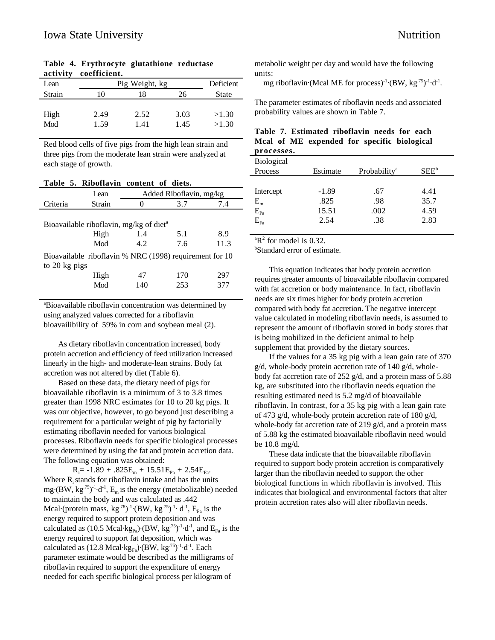| Lean        | Pig Weight, kg | Deficient    |              |                |
|-------------|----------------|--------------|--------------|----------------|
| Strain      | 10             | 18           | 26           | <b>State</b>   |
| High<br>Mod | 2.49<br>1.59   | 2.52<br>1.41 | 3.03<br>1.45 | >1.30<br>>1.30 |
|             |                |              |              |                |

**Table 4. Erythrocyte glutathione reductase activity coefficient.**

Red blood cells of five pigs from the high lean strain and three pigs from the moderate lean strain were analyzed at each stage of growth.

**Table 5. Riboflavin content of diets.**

|               | Lean   | Added Riboflavin, mg/kg                                 |     |      |  |  |
|---------------|--------|---------------------------------------------------------|-----|------|--|--|
| Criteria      | Strain |                                                         | 3.7 | 7.4  |  |  |
|               |        |                                                         |     |      |  |  |
|               |        | Bioavailable riboflavin, mg/kg of diet <sup>a</sup>     |     |      |  |  |
|               | High   | 1.4<br>8.9<br>5.1                                       |     |      |  |  |
|               | Mod    | 4.2                                                     | 7.6 | 11.3 |  |  |
|               |        | Bioavailable riboflavin % NRC (1998) requirement for 10 |     |      |  |  |
| to 20 kg pigs |        |                                                         |     |      |  |  |
|               | High   | 47                                                      | 170 | 297  |  |  |
|               | Mod    | 140                                                     | 253 | 377  |  |  |
|               |        |                                                         |     |      |  |  |

a Bioavailable riboflavin concentration was determined by using analyzed values corrected for a riboflavin bioavailibility of 59% in corn and soybean meal (2).

As dietary riboflavin concentration increased, body protein accretion and efficiency of feed utilization increased linearly in the high- and moderate-lean strains. Body fat accretion was not altered by diet (Table 6).

Based on these data, the dietary need of pigs for bioavailable riboflavin is a minimum of 3 to 3.8 times greater than 1998 NRC estimates for 10 to 20 kg pigs. It was our objective, however, to go beyond just describing a requirement for a particular weight of pig by factorially estimating riboflavin needed for various biological processes. Riboflavin needs for specific biological processes were determined by using the fat and protein accretion data. The following equation was obtained:

 $R_i$ = -1.89 + .825 $E_m$  + 15.51 $E_{Pa}$  + 2.54 $E_{Fa}$ . Where  $R_i$  stands for riboflavin intake and has the units mg·(BW,  $kg^{75}$ )<sup>-1</sup>·d<sup>-1</sup>,  $E_m$  is the energy (metabolizable) needed to maintain the body and was calculated as .442 Mcal·(protein mass,  $kg^{.78})$ <sup>-1</sup>·(BW,  $kg^{.75})$ <sup>-1</sup>· d<sup>-1</sup>,  $E_{Pa}$  is the energy required to support protein deposition and was calculated as (10.5 Mcal·kg<sub>Pa</sub>) $\cdot$ (BW, kg<sup>-75</sup>)<sup>-1</sup> $\cdot$ d<sup>-1</sup>, and E<sub>Fa</sub> is the energy required to support fat deposition, which was calculated as (12.8 Mcal·kg $_{\rm{Fa}}$ )·(BW, kg<sup>.75</sup>)<sup>-1</sup>·d<sup>-1</sup>. Each parameter estimate would be described as the milligrams of riboflavin required to support the expenditure of energy needed for each specific biological process per kilogram of

metabolic weight per day and would have the following units:

mg riboflavin·(Mcal ME for process)<sup>-1</sup>·(BW, kg<sup>.75</sup>)<sup>-1</sup>·d<sup>-1</sup>.

The parameter estimates of riboflavin needs and associated probability values are shown in Table 7.

|            |  | Table 7. Estimated riboflavin needs for each |  |  |  |
|------------|--|----------------------------------------------|--|--|--|
|            |  | Mcal of ME expended for specific biological  |  |  |  |
| processes. |  |                                              |  |  |  |

| Biological   |          |                          |         |  |
|--------------|----------|--------------------------|---------|--|
| Process      | Estimate | Probability <sup>a</sup> | $SEE^b$ |  |
|              |          |                          |         |  |
| Intercept    | $-1.89$  | .67                      | 4.41    |  |
| $E_{m}$      | .825     | .98                      | 35.7    |  |
| $E_{Pa}$     | 15.51    | .002                     | 4.59    |  |
| $E_{\rm Fa}$ | 2.54     | .38                      | 2.83    |  |
|              |          |                          |         |  |

 ${}^{\text{a}}\mathbf{R}^2$  for model is 0.32.

b Standard error of estimate.

This equation indicates that body protein accretion requires greater amounts of bioavailable riboflavin compared with fat accretion or body maintenance. In fact, riboflavin needs are six times higher for body protein accretion compared with body fat accretion. The negative intercept value calculated in modeling riboflavin needs, is assumed to represent the amount of riboflavin stored in body stores that is being mobilized in the deficient animal to help supplement that provided by the dietary sources.

If the values for a 35 kg pig with a lean gain rate of 370 g/d, whole-body protein accretion rate of 140 g/d, wholebody fat accretion rate of 252 g/d, and a protein mass of 5.88 kg, are substituted into the riboflavin needs equation the resulting estimated need is 5.2 mg/d of bioavailable riboflavin. In contrast, for a 35 kg pig with a lean gain rate of 473 g/d, whole-body protein accretion rate of 180 g/d, whole-body fat accretion rate of 219 g/d, and a protein mass of 5.88 kg the estimated bioavailable riboflavin need would be 10.8 mg/d.

These data indicate that the bioavailable riboflavin required to support body protein accretion is comparatively larger than the riboflavin needed to support the other biological functions in which riboflavin is involved. This indicates that biological and environmental factors that alter protein accretion rates also will alter riboflavin needs.